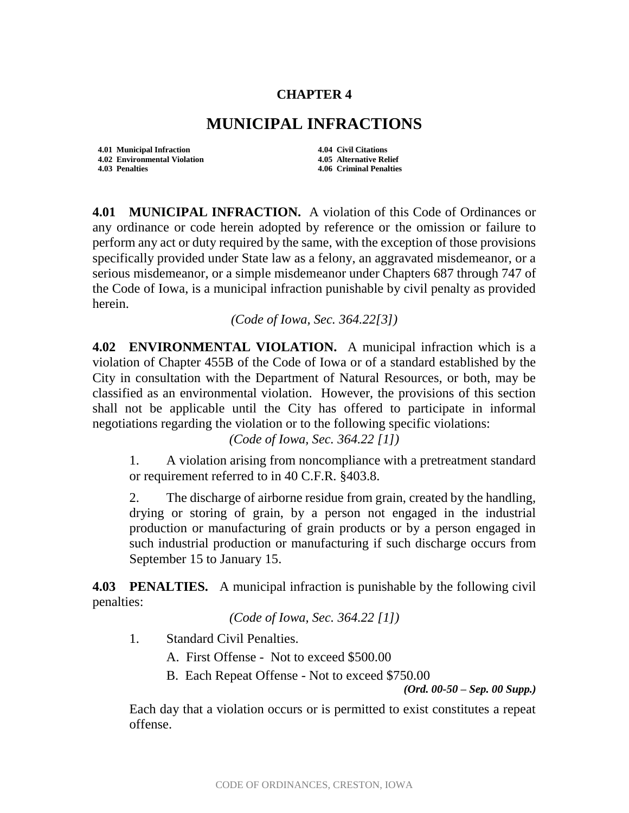## **CHAPTER 4**

## **MUNICIPAL INFRACTIONS**

**4.01 Municipal Infraction 4.04 Civil Citations 4.02 Environmental Violation 4.05 Alternative Relief**

**4.03 Penalties 4.06 Criminal Penalties**

**4.01 MUNICIPAL INFRACTION.** A violation of this Code of Ordinances or any ordinance or code herein adopted by reference or the omission or failure to perform any act or duty required by the same, with the exception of those provisions specifically provided under State law as a felony, an aggravated misdemeanor, or a serious misdemeanor, or a simple misdemeanor under Chapters 687 through 747 of the Code of Iowa, is a municipal infraction punishable by civil penalty as provided herein.

*(Code of Iowa, Sec. 364.22[3])*

**4.02 ENVIRONMENTAL VIOLATION.** A municipal infraction which is a violation of Chapter 455B of the Code of Iowa or of a standard established by the City in consultation with the Department of Natural Resources, or both, may be classified as an environmental violation. However, the provisions of this section shall not be applicable until the City has offered to participate in informal negotiations regarding the violation or to the following specific violations:

*(Code of Iowa, Sec. 364.22 [1])* 

1. A violation arising from noncompliance with a pretreatment standard or requirement referred to in 40 C.F.R. §403.8.

2. The discharge of airborne residue from grain, created by the handling, drying or storing of grain, by a person not engaged in the industrial production or manufacturing of grain products or by a person engaged in such industrial production or manufacturing if such discharge occurs from September 15 to January 15.

**4.03 PENALTIES.** A municipal infraction is punishable by the following civil penalties:

*(Code of Iowa, Sec. 364.22 [1])*

1. Standard Civil Penalties.

A. First Offense - Not to exceed \$500.00

B. Each Repeat Offense - Not to exceed \$750.00

*(Ord. 00-50 – Sep. 00 Supp.)*

Each day that a violation occurs or is permitted to exist constitutes a repeat offense.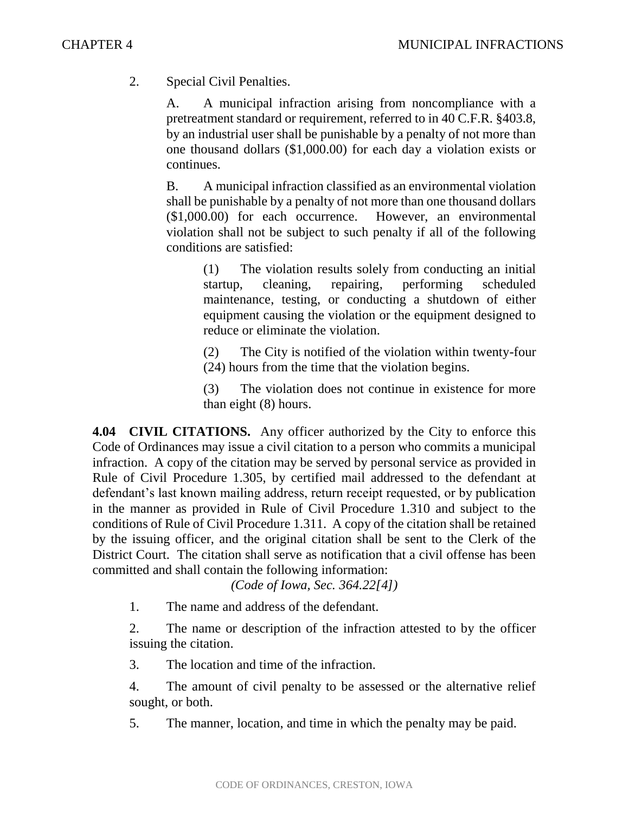2. Special Civil Penalties.

A. A municipal infraction arising from noncompliance with a pretreatment standard or requirement, referred to in 40 C.F.R. §403.8, by an industrial user shall be punishable by a penalty of not more than one thousand dollars (\$1,000.00) for each day a violation exists or continues.

B. A municipal infraction classified as an environmental violation shall be punishable by a penalty of not more than one thousand dollars (\$1,000.00) for each occurrence. However, an environmental violation shall not be subject to such penalty if all of the following conditions are satisfied:

(1) The violation results solely from conducting an initial startup, cleaning, repairing, performing scheduled maintenance, testing, or conducting a shutdown of either equipment causing the violation or the equipment designed to reduce or eliminate the violation.

(2) The City is notified of the violation within twenty-four (24) hours from the time that the violation begins.

(3) The violation does not continue in existence for more than eight (8) hours.

**4.04 CIVIL CITATIONS.** Any officer authorized by the City to enforce this Code of Ordinances may issue a civil citation to a person who commits a municipal infraction. A copy of the citation may be served by personal service as provided in Rule of Civil Procedure 1.305, by certified mail addressed to the defendant at defendant's last known mailing address, return receipt requested, or by publication in the manner as provided in Rule of Civil Procedure 1.310 and subject to the conditions of Rule of Civil Procedure 1.311. A copy of the citation shall be retained by the issuing officer, and the original citation shall be sent to the Clerk of the District Court. The citation shall serve as notification that a civil offense has been committed and shall contain the following information:

*(Code of Iowa, Sec. 364.22[4])* 

1. The name and address of the defendant.

2. The name or description of the infraction attested to by the officer issuing the citation.

3. The location and time of the infraction.

4. The amount of civil penalty to be assessed or the alternative relief sought, or both.

5. The manner, location, and time in which the penalty may be paid.